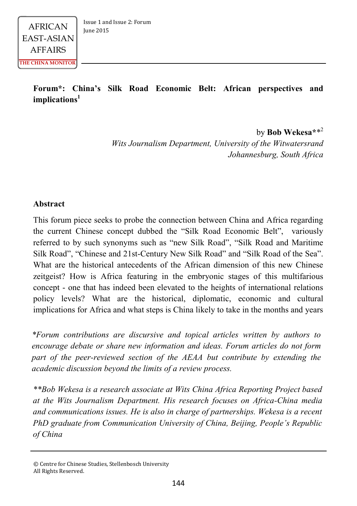**Forum\*: China's Silk Road Economic Belt: African perspectives and implications<sup>1</sup>**

> by **Bob Wekesa\***\* 2 *Wits Journalism Department, University of the Witwatersrand Johannesburg, South Africa*

#### **Abstract**

This forum piece seeks to probe the connection between China and Africa regarding the current Chinese concept dubbed the "Silk Road Economic Belt", variously referred to by such synonyms such as "new Silk Road", "Silk Road and Maritime Silk Road", "Chinese and 21st-Century New Silk Road" and "Silk Road of the Sea". What are the historical antecedents of the African dimension of this new Chinese zeitgeist? How is Africa featuring in the embryonic stages of this multifarious concept - one that has indeed been elevated to the heights of international relations policy levels? What are the historical, diplomatic, economic and cultural implications for Africa and what steps is China likely to take in the months and years

*\*Forum contributions are discursive and topical articles written by authors to encourage debate or share new information and ideas. Forum articles do not form part of the peer-reviewed section of the AEAA but contribute by extending the academic discussion beyond the limits of a review process.* 

*\*\*Bob Wekesa is a research associate at Wits China Africa Reporting Project based at the Wits Journalism Department. His research focuses on Africa-China media and communications issues. He is also in charge of partnerships. Wekesa is a recent PhD graduate from Communication University of China, Beijing, People's Republic of China* 

<sup>©</sup> Centre for Chinese Studies, Stellenbosch University All Rights Reserved.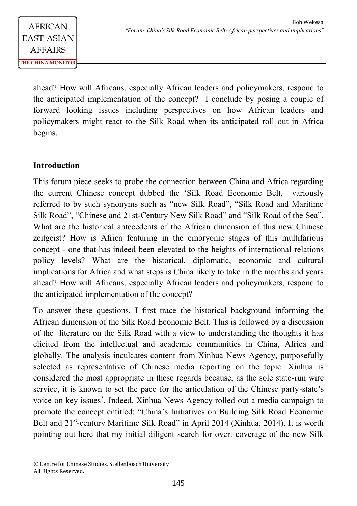ahead? How will Africans, especially African leaders and policymakers, respond to the anticipated implementation of the concept? I conclude by posing a couple of forward looking issues including perspectives on how African leaders and policymakers might react to the Silk Road when its anticipated roll out in Africa begins.

#### **Introduction**

This forum piece seeks to probe the connection between China and Africa regarding the current Chinese concept dubbed the 'Silk Road Economic Belt, variously referred to by such synonyms such as "new Silk Road", "Silk Road and Maritime Silk Road", "Chinese and 21st-Century New Silk Road" and "Silk Road of the Sea". What are the historical antecedents of the African dimension of this new Chinese zeitgeist? How is Africa featuring in the embryonic stages of this multifarious concept - one that has indeed been elevated to the heights of international relations policy levels? What are the historical, diplomatic, economic and cultural implications for Africa and what steps is China likely to take in the months and years ahead? How will Africans, especially African leaders and policymakers, respond to the anticipated implementation of the concept?

To answer these questions, I first trace the historical background informing the African dimension of the Silk Road Economic Belt. This is followed by a discussion of the literature on the Silk Road with a view to understanding the thoughts it has elicited from the intellectual and academic communities in China, Africa and globally. The analysis inculcates content from Xinhua News Agency, purposefully selected as representative of Chinese media reporting on the topic. Xinhua is considered the most appropriate in these regards because, as the sole state-run wire service, it is known to set the pace for the articulation of the Chinese party-state's voice on key issues<sup>3</sup>. Indeed, Xinhua News Agency rolled out a media campaign to promote the concept entitled: "China's Initiatives on Building Silk Road Economic Belt and 21<sup>st</sup>-century Maritime Silk Road" in April 2014 (Xinhua, 2014). It is worth pointing out here that my initial diligent search for overt coverage of the new Silk

<sup>©</sup> Centre for Chinese Studies, Stellenbosch University All Rights Reserved.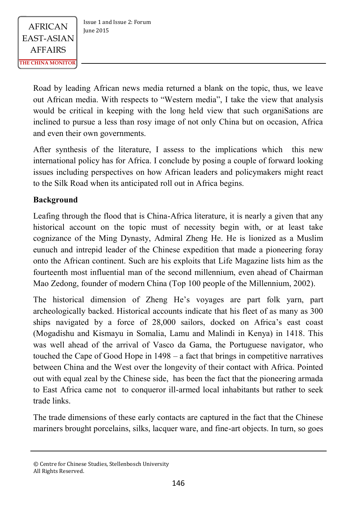$\begin{array}{c|c}\n\text{AFRICAN} & \text{issue 1 and Issue 2: Forum} \\
\hline\n\text{June 2015}\n\end{array}$ 

Road by leading African news media returned a blank on the topic, thus, we leave out African media. With respects to "Western media", I take the view that analysis would be critical in keeping with the long held view that such organiSations are inclined to pursue a less than rosy image of not only China but on occasion, Africa and even their own governments.

After synthesis of the literature, I assess to the implications which this new international policy has for Africa. I conclude by posing a couple of forward looking issues including perspectives on how African leaders and policymakers might react to the Silk Road when its anticipated roll out in Africa begins.

### **Background**

Leafing through the flood that is China-Africa literature, it is nearly a given that any historical account on the topic must of necessity begin with, or at least take cognizance of the Ming Dynasty, Admiral Zheng He. He is lionized as a Muslim eunuch and intrepid leader of the Chinese expedition that made a pioneering foray onto the African continent. Such are his exploits that Life Magazine lists him as the fourteenth most influential man of the second millennium, even ahead of Chairman Mao Zedong, founder of modern China (Top 100 people of the Millennium, 2002).

The historical dimension of Zheng He's voyages are part folk yarn, part archeologically backed. Historical accounts indicate that his fleet of as many as 300 ships navigated by a force of 28,000 sailors, docked on Africa's east coast (Mogadishu and Kismayu in Somalia, Lamu and Malindi in Kenya) in 1418. This was well ahead of the arrival of Vasco da Gama, the Portuguese navigator, who touched the Cape of Good Hope in 1498 – a fact that brings in competitive narratives between China and the West over the longevity of their contact with Africa. Pointed out with equal zeal by the Chinese side, has been the fact that the pioneering armada to East Africa came not to conqueror ill-armed local inhabitants but rather to seek trade links.

The trade dimensions of these early contacts are captured in the fact that the Chinese mariners brought porcelains, silks, lacquer ware, and fine-art objects. In turn, so goes

<sup>©</sup> Centre for Chinese Studies, Stellenbosch University All Rights Reserved.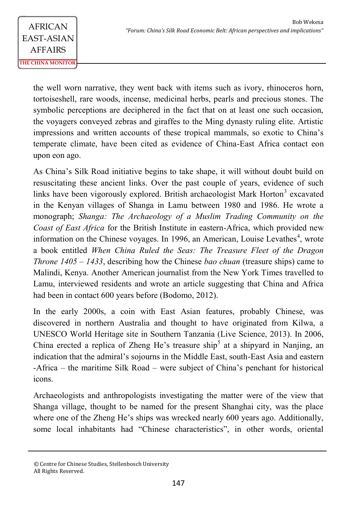the well worn narrative, they went back with items such as ivory, rhinoceros horn, tortoiseshell, rare woods, incense, medicinal herbs, pearls and precious stones. The symbolic perceptions are deciphered in the fact that on at least one such occasion, the voyagers conveyed zebras and giraffes to the Ming dynasty ruling elite. Artistic impressions and written accounts of these tropical mammals, so exotic to China's temperate climate, have been cited as evidence of China-East Africa contact eon upon eon ago.

As China's Silk Road initiative begins to take shape, it will without doubt build on resuscitating these ancient links. Over the past couple of years, evidence of such links have been vigorously explored. British archaeologist Mark Horton<sup>3</sup> excavated in the Kenyan villages of Shanga in Lamu between 1980 and 1986. He wrote a monograph; *Shanga: The Archaeology of a Muslim Trading Community on the Coast of East Africa* for the British Institute in eastern-Africa, which provided new information on the Chinese voyages. In 1996, an American, Louise Levathes<sup>4</sup>, wrote a book entitled *When China Ruled the Seas: The Treasure Fleet of the Dragon Throne 1405 – 1433*, describing how the Chinese *bao chuan* (treasure ships) came to Malindi, Kenya. Another American journalist from the New York Times travelled to Lamu, interviewed residents and wrote an article suggesting that China and Africa had been in contact 600 years before (Bodomo, 2012).

In the early 2000s, a coin with East Asian features, probably Chinese, was discovered in northern Australia and thought to have originated from Kilwa, a UNESCO World Heritage site in Southern Tanzania (Live Science, 2013). In 2006, China erected a replica of Zheng He's treasure ship<sup>5</sup> at a shipyard in Nanjing, an indication that the admiral's sojourns in the Middle East, south-East Asia and eastern -Africa – the maritime Silk Road – were subject of China's penchant for historical icons.

Archaeologists and anthropologists investigating the matter were of the view that Shanga village, thought to be named for the present Shanghai city, was the place where one of the Zheng He's ships was wrecked nearly 600 years ago. Additionally, some local inhabitants had "Chinese characteristics", in other words, oriental

<sup>©</sup> Centre for Chinese Studies, Stellenbosch University All Rights Reserved.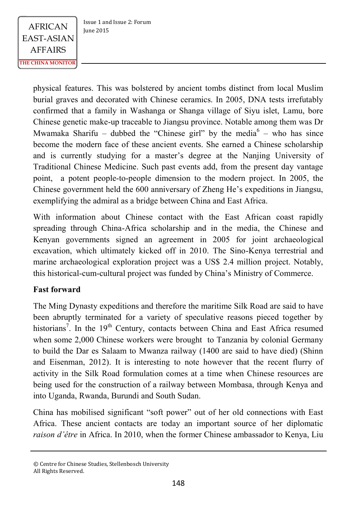$\begin{array}{c|c}\n\text{AFRICAN} & \text{issue 1 and Issue 2: Forum} \\
\hline\n\text{line 2015}\n\end{array}$ 

physical features. This was bolstered by ancient tombs distinct from local Muslim burial graves and decorated with Chinese ceramics. In 2005, DNA tests irrefutably confirmed that a family in Washanga or Shanga village of Siyu islet, Lamu, bore Chinese genetic make-up traceable to Jiangsu province. Notable among them was Dr Mwamaka Sharifu – dubbed the "Chinese girl" by the media<sup>6</sup> – who has since become the modern face of these ancient events. She earned a Chinese scholarship and is currently studying for a master's degree at the Nanjing University of Traditional Chinese Medicine. Such past events add, from the present day vantage point, a potent people-to-people dimension to the modern project. In 2005, the Chinese government held the 600 anniversary of Zheng He's expeditions in Jiangsu, exemplifying the admiral as a bridge between China and East Africa.

With information about Chinese contact with the East African coast rapidly spreading through China-Africa scholarship and in the media, the Chinese and Kenyan governments signed an agreement in 2005 for joint archaeological excavation, which ultimately kicked off in 2010. The Sino-Kenya terrestrial and marine archaeological exploration project was a US\$ 2.4 million project. Notably, this historical-cum-cultural project was funded by China's Ministry of Commerce.

#### **Fast forward**

The Ming Dynasty expeditions and therefore the maritime Silk Road are said to have been abruptly terminated for a variety of speculative reasons pieced together by historians<sup>7</sup>. In the 19<sup>th</sup> Century, contacts between China and East Africa resumed when some 2,000 Chinese workers were brought to Tanzania by colonial Germany to build the Dar es Salaam to Mwanza railway (1400 are said to have died) (Shinn and Eisenman, 2012). It is interesting to note however that the recent flurry of activity in the Silk Road formulation comes at a time when Chinese resources are being used for the construction of a railway between Mombasa, through Kenya and into Uganda, Rwanda, Burundi and South Sudan.

China has mobilised significant "soft power" out of her old connections with East Africa. These ancient contacts are today an important source of her diplomatic *raison d'être* in Africa. In 2010, when the former Chinese ambassador to Kenya, Liu

<sup>©</sup> Centre for Chinese Studies, Stellenbosch University All Rights Reserved.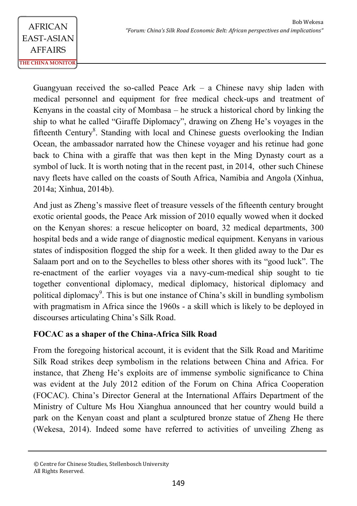Guangyuan received the so-called Peace  $Ark - a$  Chinese navy ship laden with medical personnel and equipment for free medical check-ups and treatment of Kenyans in the coastal city of Mombasa – he struck a historical chord by linking the ship to what he called "Giraffe Diplomacy", drawing on Zheng He's voyages in the fifteenth Century<sup>8</sup>. Standing with local and Chinese guests overlooking the Indian Ocean, the ambassador narrated how the Chinese voyager and his retinue had gone back to China with a giraffe that was then kept in the Ming Dynasty court as a symbol of luck. It is worth noting that in the recent past, in 2014, other such Chinese navy fleets have called on the coasts of South Africa, Namibia and Angola (Xinhua, 2014a; Xinhua, 2014b).

And just as Zheng's massive fleet of treasure vessels of the fifteenth century brought exotic oriental goods, the Peace Ark mission of 2010 equally wowed when it docked on the Kenyan shores: a rescue helicopter on board, 32 medical departments, 300 hospital beds and a wide range of diagnostic medical equipment. Kenyans in various states of indisposition flogged the ship for a week. It then glided away to the Dar es Salaam port and on to the Seychelles to bless other shores with its "good luck". The re-enactment of the earlier voyages via a navy-cum-medical ship sought to tie together conventional diplomacy, medical diplomacy, historical diplomacy and political diplomacy<sup>9</sup>. This is but one instance of China's skill in bundling symbolism with pragmatism in Africa since the 1960s - a skill which is likely to be deployed in discourses articulating China's Silk Road.

### **FOCAC as a shaper of the China-Africa Silk Road**

From the foregoing historical account, it is evident that the Silk Road and Maritime Silk Road strikes deep symbolism in the relations between China and Africa. For instance, that Zheng He's exploits are of immense symbolic significance to China was evident at the July 2012 edition of the Forum on China Africa Cooperation (FOCAC). China's Director General at the International Affairs Department of the Ministry of Culture Ms Hou Xianghua announced that her country would build a park on the Kenyan coast and plant a sculptured bronze statue of Zheng He there (Wekesa, 2014). Indeed some have referred to activities of unveiling Zheng as

<sup>©</sup> Centre for Chinese Studies, Stellenbosch University All Rights Reserved.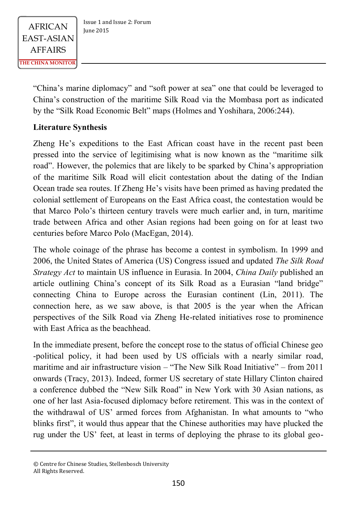"China's marine diplomacy" and "soft power at sea" one that could be leveraged to China's construction of the maritime Silk Road via the Mombasa port as indicated by the "Silk Road Economic Belt" maps (Holmes and Yoshihara, 2006:244).

### **Literature Synthesis**

Zheng He's expeditions to the East African coast have in the recent past been pressed into the service of legitimising what is now known as the "maritime silk road". However, the polemics that are likely to be sparked by China's appropriation of the maritime Silk Road will elicit contestation about the dating of the Indian Ocean trade sea routes. If Zheng He's visits have been primed as having predated the colonial settlement of Europeans on the East Africa coast, the contestation would be that Marco Polo's thirteen century travels were much earlier and, in turn, maritime trade between Africa and other Asian regions had been going on for at least two centuries before Marco Polo (MacEgan, 2014).

The whole coinage of the phrase has become a contest in symbolism. In 1999 and 2006, the United States of America (US) Congress issued and updated *The Silk Road Strategy Act* to maintain US influence in Eurasia. In 2004, *China Daily* published an article outlining China's concept of its Silk Road as a Eurasian "land bridge" connecting China to Europe across the Eurasian continent (Lin, 2011). The connection here, as we saw above, is that 2005 is the year when the African perspectives of the Silk Road via Zheng He-related initiatives rose to prominence with East Africa as the beachhead.

In the immediate present, before the concept rose to the status of official Chinese geo -political policy, it had been used by US officials with a nearly similar road, maritime and air infrastructure vision – "The New Silk Road Initiative" – from 2011 onwards (Tracy, 2013). Indeed, former US secretary of state Hillary Clinton chaired a conference dubbed the "New Silk Road" in New York with 30 Asian nations, as one of her last Asia-focused diplomacy before retirement. This was in the context of the withdrawal of US' armed forces from Afghanistan. In what amounts to "who blinks first", it would thus appear that the Chinese authorities may have plucked the rug under the US' feet, at least in terms of deploying the phrase to its global geo-

<sup>©</sup> Centre for Chinese Studies, Stellenbosch University All Rights Reserved.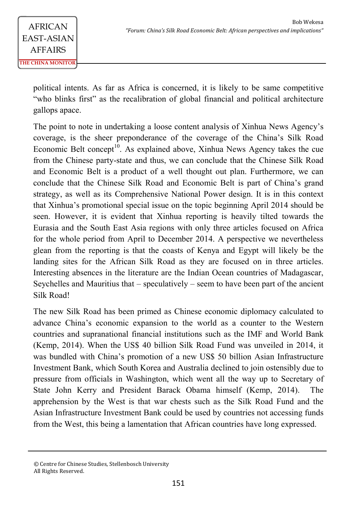political intents. As far as Africa is concerned, it is likely to be same competitive "who blinks first" as the recalibration of global financial and political architecture gallops apace.

The point to note in undertaking a loose content analysis of Xinhua News Agency's coverage, is the sheer preponderance of the coverage of the China's Silk Road Economic Belt concept<sup>10</sup>. As explained above, Xinhua News Agency takes the cue from the Chinese party-state and thus, we can conclude that the Chinese Silk Road and Economic Belt is a product of a well thought out plan. Furthermore, we can conclude that the Chinese Silk Road and Economic Belt is part of China's grand strategy, as well as its Comprehensive National Power design. It is in this context that Xinhua's promotional special issue on the topic beginning April 2014 should be seen. However, it is evident that Xinhua reporting is heavily tilted towards the Eurasia and the South East Asia regions with only three articles focused on Africa for the whole period from April to December 2014. A perspective we nevertheless glean from the reporting is that the coasts of Kenya and Egypt will likely be the landing sites for the African Silk Road as they are focused on in three articles. Interesting absences in the literature are the Indian Ocean countries of Madagascar, Seychelles and Mauritius that  $-$  speculatively  $-$  seem to have been part of the ancient Silk Road!

The new Silk Road has been primed as Chinese economic diplomacy calculated to advance China's economic expansion to the world as a counter to the Western countries and supranational financial institutions such as the IMF and World Bank (Kemp, 2014). When the US\$ 40 billion Silk Road Fund was unveiled in 2014, it was bundled with China's promotion of a new US\$ 50 billion Asian Infrastructure Investment Bank, which South Korea and Australia declined to join ostensibly due to pressure from officials in Washington, which went all the way up to Secretary of State John Kerry and President Barack Obama himself (Kemp, 2014). The apprehension by the West is that war chests such as the Silk Road Fund and the Asian Infrastructure Investment Bank could be used by countries not accessing funds from the West, this being a lamentation that African countries have long expressed.

<sup>©</sup> Centre for Chinese Studies, Stellenbosch University All Rights Reserved.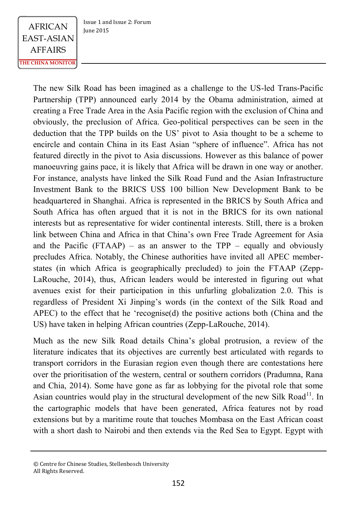$\begin{array}{c|c}\n\text{AFRICAN} & \text{issue 1 and Issue 2: Forum} \\
\hline\n\text{line 2015}\n\end{array}$ 

The new Silk Road has been imagined as a challenge to the US-led Trans-Pacific Partnership (TPP) announced early 2014 by the Obama administration, aimed at creating a Free Trade Area in the Asia Pacific region with the exclusion of China and obviously, the preclusion of Africa. Geo-political perspectives can be seen in the deduction that the TPP builds on the US' pivot to Asia thought to be a scheme to encircle and contain China in its East Asian "sphere of influence". Africa has not featured directly in the pivot to Asia discussions. However as this balance of power manoeuvring gains pace, it is likely that Africa will be drawn in one way or another. For instance, analysts have linked the Silk Road Fund and the Asian Infrastructure Investment Bank to the BRICS US\$ 100 billion New Development Bank to be headquartered in Shanghai. Africa is represented in the BRICS by South Africa and South Africa has often argued that it is not in the BRICS for its own national interests but as representative for wider continental interests. Still, there is a broken link between China and Africa in that China's own Free Trade Agreement for Asia and the Pacific (FTAAP) – as an answer to the TPP – equally and obviously precludes Africa. Notably, the Chinese authorities have invited all APEC memberstates (in which Africa is geographically precluded) to join the FTAAP (Zepp-LaRouche, 2014), thus, African leaders would be interested in figuring out what avenues exist for their participation in this unfurling globalization 2.0. This is regardless of President Xi Jinping's words (in the context of the Silk Road and APEC) to the effect that he 'recognise(d) the positive actions both (China and the US) have taken in helping African countries (Zepp-LaRouche, 2014).

Much as the new Silk Road details China's global protrusion, a review of the literature indicates that its objectives are currently best articulated with regards to transport corridors in the Eurasian region even though there are contestations here over the prioritisation of the western, central or southern corridors (Pradumna, Rana and Chia, 2014). Some have gone as far as lobbying for the pivotal role that some Asian countries would play in the structural development of the new Silk Road<sup>11</sup>. In the cartographic models that have been generated, Africa features not by road extensions but by a maritime route that touches Mombasa on the East African coast with a short dash to Nairobi and then extends via the Red Sea to Egypt. Egypt with

<sup>©</sup> Centre for Chinese Studies, Stellenbosch University All Rights Reserved.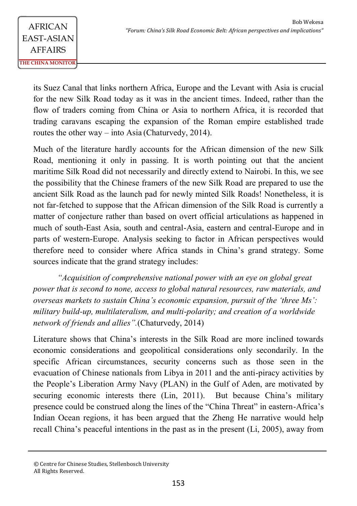its Suez Canal that links northern Africa, Europe and the Levant with Asia is crucial for the new Silk Road today as it was in the ancient times. Indeed, rather than the flow of traders coming from China or Asia to northern Africa, it is recorded that trading caravans escaping the expansion of the Roman empire established trade routes the other way – into Asia (Chaturvedy, 2014).

Much of the literature hardly accounts for the African dimension of the new Silk Road, mentioning it only in passing. It is worth pointing out that the ancient maritime Silk Road did not necessarily and directly extend to Nairobi. In this, we see the possibility that the Chinese framers of the new Silk Road are prepared to use the ancient Silk Road as the launch pad for newly minted Silk Roads! Nonetheless, it is not far-fetched to suppose that the African dimension of the Silk Road is currently a matter of conjecture rather than based on overt official articulations as happened in much of south-East Asia, south and central-Asia, eastern and central-Europe and in parts of western-Europe. Analysis seeking to factor in African perspectives would therefore need to consider where Africa stands in China's grand strategy. Some sources indicate that the grand strategy includes:

*"Acquisition of comprehensive national power with an eye on global great power that is second to none, access to global natural resources, raw materials, and overseas markets to sustain China's economic expansion, pursuit of the 'three Ms': military build-up, multilateralism, and multi-polarity; and creation of a worldwide network of friends and allies".*(Chaturvedy, 2014)

Literature shows that China's interests in the Silk Road are more inclined towards economic considerations and geopolitical considerations only secondarily. In the specific African circumstances, security concerns such as those seen in the evacuation of Chinese nationals from Libya in 2011 and the anti-piracy activities by the People's Liberation Army Navy (PLAN) in the Gulf of Aden, are motivated by securing economic interests there (Lin, 2011). But because China's military presence could be construed along the lines of the "China Threat" in eastern-Africa's Indian Ocean regions, it has been argued that the Zheng He narrative would help recall China's peaceful intentions in the past as in the present (Li, 2005), away from

<sup>©</sup> Centre for Chinese Studies, Stellenbosch University All Rights Reserved.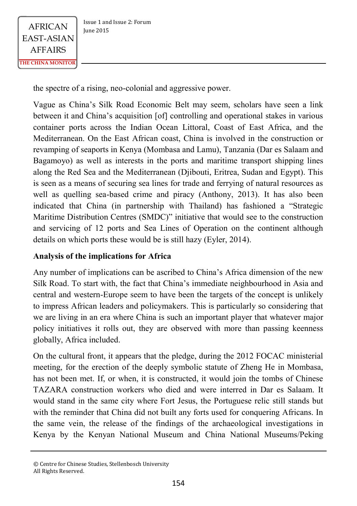

 $\begin{array}{c|c}\n\text{AFRICAN} & \text{issue 1 and Issue 2: Forum} \\
\hline\n\text{June 2015}\n\end{array}$ 

the spectre of a rising, neo-colonial and aggressive power.

Vague as China's Silk Road Economic Belt may seem, scholars have seen a link between it and China's acquisition [of] controlling and operational stakes in various container ports across the Indian Ocean Littoral, Coast of East Africa, and the Mediterranean. On the East African coast, China is involved in the construction or revamping of seaports in Kenya (Mombasa and Lamu), Tanzania (Dar es Salaam and Bagamoyo) as well as interests in the ports and maritime transport shipping lines along the Red Sea and the Mediterranean (Djibouti, Eritrea, Sudan and Egypt). This is seen as a means of securing sea lines for trade and ferrying of natural resources as well as quelling sea-based crime and piracy (Anthony, 2013). It has also been indicated that China (in partnership with Thailand) has fashioned a "Strategic Maritime Distribution Centres (SMDC)" initiative that would see to the construction and servicing of 12 ports and Sea Lines of Operation on the continent although details on which ports these would be is still hazy (Eyler, 2014).

#### **Analysis of the implications for Africa**

Any number of implications can be ascribed to China's Africa dimension of the new Silk Road. To start with, the fact that China's immediate neighbourhood in Asia and central and western-Europe seem to have been the targets of the concept is unlikely to impress African leaders and policymakers. This is particularly so considering that we are living in an era where China is such an important player that whatever major policy initiatives it rolls out, they are observed with more than passing keenness globally, Africa included.

On the cultural front, it appears that the pledge, during the 2012 FOCAC ministerial meeting, for the erection of the deeply symbolic statute of Zheng He in Mombasa, has not been met. If, or when, it is constructed, it would join the tombs of Chinese TAZARA construction workers who died and were interred in Dar es Salaam. It would stand in the same city where Fort Jesus, the Portuguese relic still stands but with the reminder that China did not built any forts used for conquering Africans. In the same vein, the release of the findings of the archaeological investigations in Kenya by the Kenyan National Museum and China National Museums/Peking

<sup>©</sup> Centre for Chinese Studies, Stellenbosch University All Rights Reserved.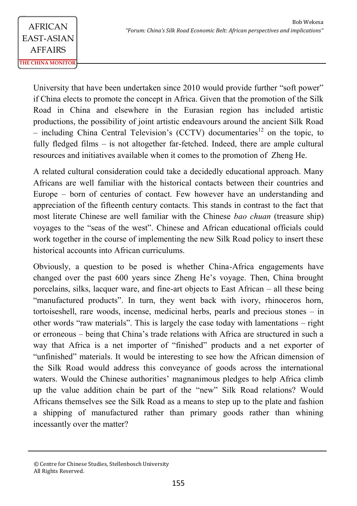University that have been undertaken since 2010 would provide further "soft power" if China elects to promote the concept in Africa. Given that the promotion of the Silk Road in China and elsewhere in the Eurasian region has included artistic productions, the possibility of joint artistic endeavours around the ancient Silk Road – including China Central Television's (CCTV) documentaries<sup>12</sup> on the topic, to fully fledged films – is not altogether far-fetched. Indeed, there are ample cultural resources and initiatives available when it comes to the promotion of Zheng He.

A related cultural consideration could take a decidedly educational approach. Many Africans are well familiar with the historical contacts between their countries and Europe – born of centuries of contact. Few however have an understanding and appreciation of the fifteenth century contacts. This stands in contrast to the fact that most literate Chinese are well familiar with the Chinese *bao chuan* (treasure ship) voyages to the "seas of the west". Chinese and African educational officials could work together in the course of implementing the new Silk Road policy to insert these historical accounts into African curriculums.

Obviously, a question to be posed is whether China-Africa engagements have changed over the past 600 years since Zheng He's voyage. Then, China brought porcelains, silks, lacquer ware, and fine-art objects to East African – all these being "manufactured products". In turn, they went back with ivory, rhinoceros horn, tortoiseshell, rare woods, incense, medicinal herbs, pearls and precious stones – in other words "raw materials". This is largely the case today with lamentations – right or erroneous – being that China's trade relations with Africa are structured in such a way that Africa is a net importer of "finished" products and a net exporter of "unfinished" materials. It would be interesting to see how the African dimension of the Silk Road would address this conveyance of goods across the international waters. Would the Chinese authorities' magnanimous pledges to help Africa climb up the value addition chain be part of the "new" Silk Road relations? Would Africans themselves see the Silk Road as a means to step up to the plate and fashion a shipping of manufactured rather than primary goods rather than whining incessantly over the matter?

<sup>©</sup> Centre for Chinese Studies, Stellenbosch University All Rights Reserved.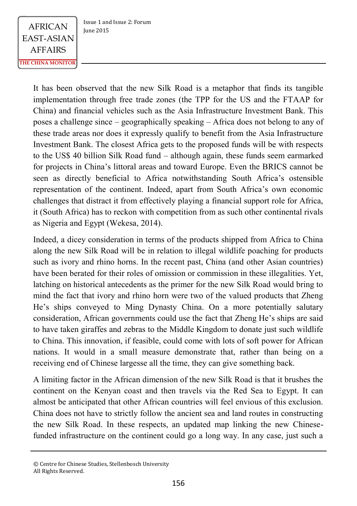$\begin{array}{c|c}\n\text{AFRICAN} & \text{issue 1 and Issue 2: Forum} \\
\hline\n\text{line 2015}\n\end{array}$ 

It has been observed that the new Silk Road is a metaphor that finds its tangible implementation through free trade zones (the TPP for the US and the FTAAP for China) and financial vehicles such as the Asia Infrastructure Investment Bank. This poses a challenge since – geographically speaking – Africa does not belong to any of these trade areas nor does it expressly qualify to benefit from the Asia Infrastructure Investment Bank. The closest Africa gets to the proposed funds will be with respects to the US\$ 40 billion Silk Road fund – although again, these funds seem earmarked for projects in China's littoral areas and toward Europe. Even the BRICS cannot be seen as directly beneficial to Africa notwithstanding South Africa's ostensible representation of the continent. Indeed, apart from South Africa's own economic challenges that distract it from effectively playing a financial support role for Africa, it (South Africa) has to reckon with competition from as such other continental rivals as Nigeria and Egypt (Wekesa, 2014).

Indeed, a dicey consideration in terms of the products shipped from Africa to China along the new Silk Road will be in relation to illegal wildlife poaching for products such as ivory and rhino horns. In the recent past, China (and other Asian countries) have been berated for their roles of omission or commission in these illegalities. Yet, latching on historical antecedents as the primer for the new Silk Road would bring to mind the fact that ivory and rhino horn were two of the valued products that Zheng He's ships conveyed to Ming Dynasty China. On a more potentially salutary consideration, African governments could use the fact that Zheng He's ships are said to have taken giraffes and zebras to the Middle Kingdom to donate just such wildlife to China. This innovation, if feasible, could come with lots of soft power for African nations. It would in a small measure demonstrate that, rather than being on a receiving end of Chinese largesse all the time, they can give something back.

A limiting factor in the African dimension of the new Silk Road is that it brushes the continent on the Kenyan coast and then travels via the Red Sea to Egypt. It can almost be anticipated that other African countries will feel envious of this exclusion. China does not have to strictly follow the ancient sea and land routes in constructing the new Silk Road. In these respects, an updated map linking the new Chinesefunded infrastructure on the continent could go a long way. In any case, just such a

<sup>©</sup> Centre for Chinese Studies, Stellenbosch University All Rights Reserved.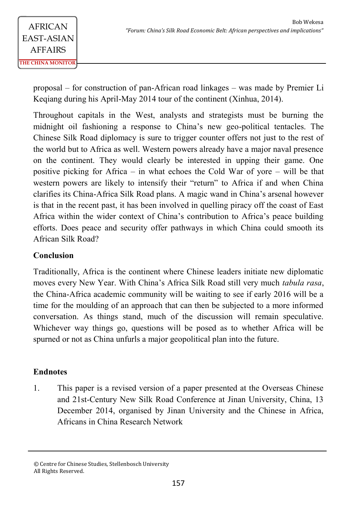proposal – for construction of pan-African road linkages – was made by Premier Li Keqiang during his April-May 2014 tour of the continent (Xinhua, 2014).

Throughout capitals in the West, analysts and strategists must be burning the midnight oil fashioning a response to China's new geo-political tentacles. The Chinese Silk Road diplomacy is sure to trigger counter offers not just to the rest of the world but to Africa as well. Western powers already have a major naval presence on the continent. They would clearly be interested in upping their game. One positive picking for Africa – in what echoes the Cold War of yore – will be that western powers are likely to intensify their "return" to Africa if and when China clarifies its China-Africa Silk Road plans. A magic wand in China's arsenal however is that in the recent past, it has been involved in quelling piracy off the coast of East Africa within the wider context of China's contribution to Africa's peace building efforts. Does peace and security offer pathways in which China could smooth its African Silk Road?

### **Conclusion**

Traditionally, Africa is the continent where Chinese leaders initiate new diplomatic moves every New Year. With China's Africa Silk Road still very much *tabula rasa*, the China-Africa academic community will be waiting to see if early 2016 will be a time for the moulding of an approach that can then be subjected to a more informed conversation. As things stand, much of the discussion will remain speculative. Whichever way things go, questions will be posed as to whether Africa will be spurned or not as China unfurls a major geopolitical plan into the future.

### **Endnotes**

1. This paper is a revised version of a paper presented at the Overseas Chinese and 21st-Century New Silk Road Conference at Jinan University, China, 13 December 2014, organised by Jinan University and the Chinese in Africa, Africans in China Research Network

<sup>©</sup> Centre for Chinese Studies, Stellenbosch University All Rights Reserved.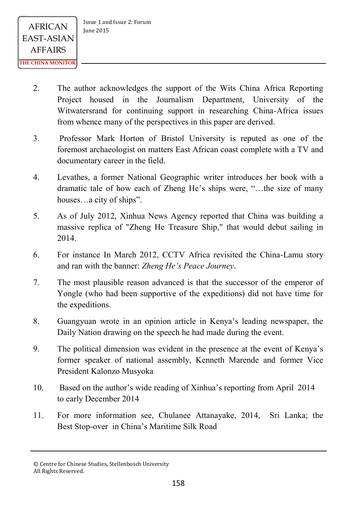- 2. The author acknowledges the support of the Wits China Africa Reporting Project housed in the Journalism Department, University of the Witwatersrand for continuing support in researching China-Africa issues from whence many of the perspectives in this paper are derived.
- 3. Professor Mark Horton of Bristol University is reputed as one of the foremost archaeologist on matters East African coast complete with a TV and documentary career in the field.
- 4. Levathes, a former National Geographic writer introduces her book with a dramatic tale of how each of Zheng He's ships were, "…the size of many houses…a city of ships".
- 5. As of July 2012, Xinhua News Agency reported that China was building a massive replica of "Zheng He Treasure Ship," that would debut sailing in 2014.
- 6. For instance In March 2012, CCTV Africa revisited the China-Lamu story and ran with the banner: *Zheng He's Peace Journey*.
- 7. The most plausible reason advanced is that the successor of the emperor of Yongle (who had been supportive of the expeditions) did not have time for the expeditions.
- 8. Guangyuan wrote in an opinion article in Kenya's leading newspaper, the Daily Nation drawing on the speech he had made during the event.
- 9. The political dimension was evident in the presence at the event of Kenya's former speaker of national assembly, Kenneth Marende and former Vice President Kalonzo Musyoka
- 10. Based on the author's wide reading of Xinhua's reporting from April 2014 to early December 2014
- 11. For more information see, Chulanee Attanayake, 2014, Sri Lanka; the Best Stop-over in China's Maritime Silk Road

<sup>©</sup> Centre for Chinese Studies, Stellenbosch University All Rights Reserved.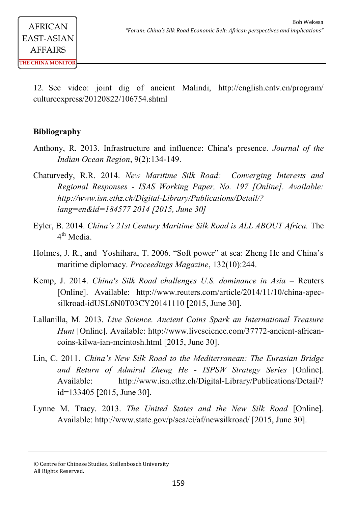12. See video: joint dig of ancient Malindi, http://english.cntv.cn/program/ cultureexpress/20120822/106754.shtml

#### **Bibliography**

- Anthony, R. 2013. Infrastructure and influence: China's presence. *Journal of the Indian Ocean Region*, 9(2):134-149.
- Chaturvedy, R.R. 2014. *New Maritime Silk Road: Converging Interests and Regional Responses - ISAS Working Paper, No. 197 [Online]. Available: http://www.isn.ethz.ch/Digital-Library/Publications/Detail/? lang=en&id=184577 2014 [2015, June 30]*
- Eyler, B. 2014. *China's 21st Century Maritime Silk Road is ALL ABOUT Africa.* The 4<sup>th</sup> Media.
- Holmes, J. R., and Yoshihara, T. 2006. "Soft power" at sea: Zheng He and China's maritime diplomacy. *Proceedings Magazine*, 132(10):244.
- Kemp, J. 2014. *China's Silk Road challenges U.S. dominance in Asia –* Reuters [Online]. Available: http://www.reuters.com/article/2014/11/10/china-apecsilkroad-idUSL6N0T03CY20141110 [2015, June 30].
- Lallanilla, M. 2013. *Live Science. Ancient Coins Spark an International Treasure Hunt* [Online]. Available: http://www.livescience.com/37772-ancient-africancoins-kilwa-ian-mcintosh.html [2015, June 30].
- Lin, C. 2011. *China's New Silk Road to the Mediterranean: The Eurasian Bridge and Return of Admiral Zheng He - ISPSW Strategy Series* [Online]. Available: http://www.isn.ethz.ch/Digital-Library/Publications/Detail/? id=133405 [2015, June 30].
- Lynne M. Tracy. 2013. *The United States and the New Silk Road* [Online]. Available: http://www.state.gov/p/sca/ci/af/newsilkroad/ [2015, June 30].

<sup>©</sup> Centre for Chinese Studies, Stellenbosch University All Rights Reserved.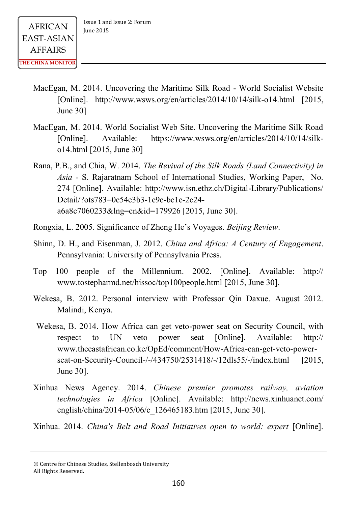- MacEgan, M. 2014. Uncovering the Maritime Silk Road World Socialist Website [Online]. http://www.wsws.org/en/articles/2014/10/14/silk-o14.html [2015, June 30]
- MacEgan, M. 2014. World Socialist Web Site. Uncovering the Maritime Silk Road [Online]. Available: https://www.wsws.org/en/articles/2014/10/14/silko14.html [2015, June 30]
- Rana, P.B., and Chia, W. 2014. *The Revival of the Silk Roads (Land Connectivity) in Asia -* S. Rajaratnam School of International Studies, Working Paper, No. 274 [Online]. Available: http://www.isn.ethz.ch/Digital-Library/Publications/ Detail/?ots783=0c54e3b3-1e9c-be1e-2c24 a6a8c7060233&lng=en&id=179926 [2015, June 30].
- Rongxia, L. 2005. Significance of Zheng He's Voyages. *Beijing Review*.
- Shinn, D. H., and Eisenman, J. 2012. *China and Africa: A Century of Engagement*. Pennsylvania: University of Pennsylvania Press.
- Top 100 people of the Millennium. 2002. [Online]. Available: http:// www.tostepharmd.net/hissoc/top100people.html [2015, June 30].
- Wekesa, B. 2012. Personal interview with Professor Qin Daxue. August 2012. Malindi, Kenya.
- Wekesa, B. 2014. How Africa can get veto-power seat on Security Council, with respect to UN veto power seat [Online]. Available: http:// www.theeastafrican.co.ke/OpEd/comment/How-Africa-can-get-veto-powerseat-on-Security-Council-/-/434750/2531418/-/12dls55/-/index.html [2015, June 30].
- Xinhua News Agency. 2014. *Chinese premier promotes railway, aviation technologies in Africa* [Online]. Available: http://news.xinhuanet.com/ english/china/2014-05/06/c\_126465183.htm [2015, June 30].

Xinhua. 2014. *China's Belt and Road Initiatives open to world: expert* [Online].

<sup>©</sup> Centre for Chinese Studies, Stellenbosch University All Rights Reserved.